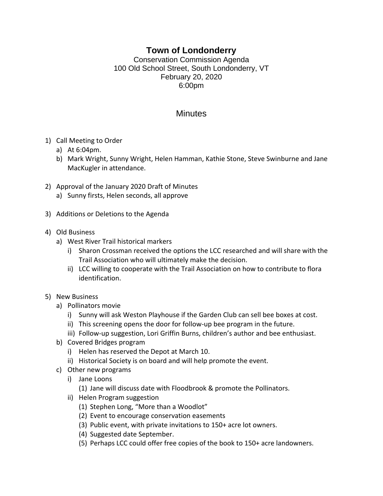## **Town of Londonderry**

Conservation Commission Agenda 100 Old School Street, South Londonderry, VT February 20, 2020 6:00pm

## **Minutes**

- 1) Call Meeting to Order
	- a) At 6:04pm.
	- b) Mark Wright, Sunny Wright, Helen Hamman, Kathie Stone, Steve Swinburne and Jane MacKugler in attendance.
- 2) Approval of the January 2020 Draft of Minutes
	- a) Sunny firsts, Helen seconds, all approve
- 3) Additions or Deletions to the Agenda
- 4) Old Business
	- a) West River Trail historical markers
		- i) Sharon Crossman received the options the LCC researched and will share with the Trail Association who will ultimately make the decision.
		- ii) LCC willing to cooperate with the Trail Association on how to contribute to flora identification.
- 5) New Business
	- a) Pollinators movie
		- i) Sunny will ask Weston Playhouse if the Garden Club can sell bee boxes at cost.
		- ii) This screening opens the door for follow-up bee program in the future.
		- iii) Follow-up suggestion, Lori Griffin Burns, children's author and bee enthusiast.
	- b) Covered Bridges program
		- i) Helen has reserved the Depot at March 10.
		- ii) Historical Society is on board and will help promote the event.
	- c) Other new programs
		- i) Jane Loons
			- (1) Jane will discuss date with Floodbrook & promote the Pollinators.
		- ii) Helen Program suggestion
			- (1) Stephen Long, "More than a Woodlot"
			- (2) Event to encourage conservation easements
			- (3) Public event, with private invitations to 150+ acre lot owners.
			- (4) Suggested date September.
			- (5) Perhaps LCC could offer free copies of the book to 150+ acre landowners.